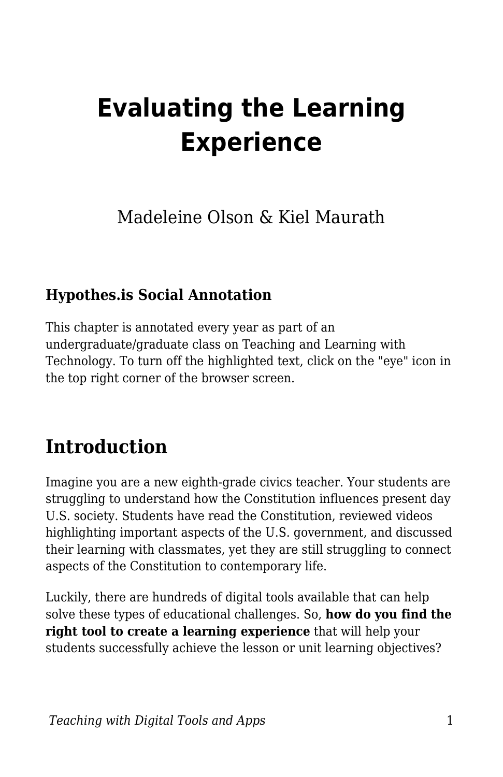# **Evaluating the Learning Experience**

Madeleine Olson & Kiel Maurath

### **Hypothes.is Social Annotation**

This chapter is annotated every year as part of an undergraduate/graduate class on Teaching and Learning with Technology. To turn off the highlighted text, click on the "eye" icon in the top right corner of the browser screen.

# **Introduction**

Imagine you are a new eighth-grade civics teacher. Your students are struggling to understand how the Constitution influences present day U.S. society. Students have read the Constitution, reviewed videos highlighting important aspects of the U.S. government, and discussed their learning with classmates, yet they are still struggling to connect aspects of the Constitution to contemporary life.

Luckily, there are hundreds of digital tools available that can help solve these types of educational challenges. So, **how do you find the right tool to create a learning experience** that will help your students successfully achieve the lesson or unit learning objectives?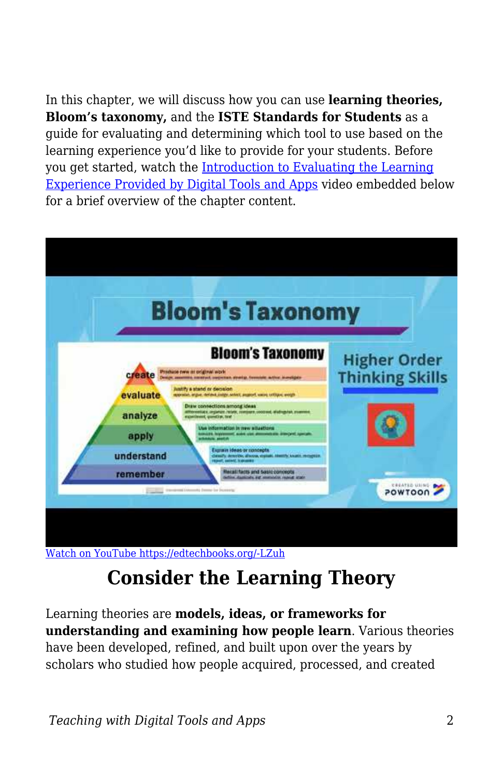In this chapter, we will discuss how you can use **learning theories, Bloom's taxonomy,** and the **ISTE Standards for Students** as a guide for evaluating and determining which tool to use based on the learning experience you'd like to provide for your students. Before you get started, watch the [Introduction to Evaluating the Learning](https://www.youtube.com/watch?v=XIrwQYDzMFw) [Experience Provided by Digital Tools and Apps](https://www.youtube.com/watch?v=XIrwQYDzMFw) video embedded below for a brief overview of the chapter content.



[Watch on YouTube https://edtechbooks.org/-LZuh](https://www.youtube.com/embed/XIrwQYDzMFw?autoplay=1&rel=0&showinfo=0&modestbranding=1)

# **Consider the Learning Theory**

Learning theories are **models, ideas, or frameworks for understanding and examining how people learn**. Various theories have been developed, refined, and built upon over the years by scholars who studied how people acquired, processed, and created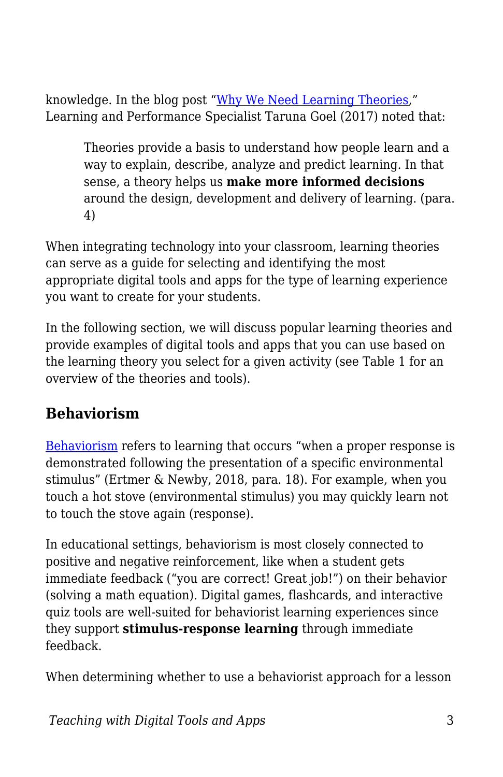knowledge. In the blog post ["Why We Need Learning Theories,](http://tarunagoel.blogspot.com/2017/08/why-we-need-learning-theories.html)" Learning and Performance Specialist Taruna Goel (2017) noted that:

Theories provide a basis to understand how people learn and a way to explain, describe, analyze and predict learning. In that sense, a theory helps us **make more informed decisions** around the design, development and delivery of learning. (para. 4)

When integrating technology into your classroom, learning theories can serve as a guide for selecting and identifying the most appropriate digital tools and apps for the type of learning experience you want to create for your students.

In the following section, we will discuss popular learning theories and provide examples of digital tools and apps that you can use based on the learning theory you select for a given activity (see Table 1 for an overview of the theories and tools).

### **Behaviorism**

[Behaviorism](https://www.simplypsychology.org/behaviorism.html) refers to learning that occurs "when a proper response is demonstrated following the presentation of a specific environmental stimulus" (Ertmer & Newby, 2018, para. 18). For example, when you touch a hot stove (environmental stimulus) you may quickly learn not to touch the stove again (response).

In educational settings, behaviorism is most closely connected to positive and negative reinforcement, like when a student gets immediate feedback ("you are correct! Great job!") on their behavior (solving a math equation). Digital games, flashcards, and interactive quiz tools are well-suited for behaviorist learning experiences since they support **stimulus-response learning** through immediate feedback.

When determining whether to use a behaviorist approach for a lesson

*Teaching with Digital Tools and Apps* 3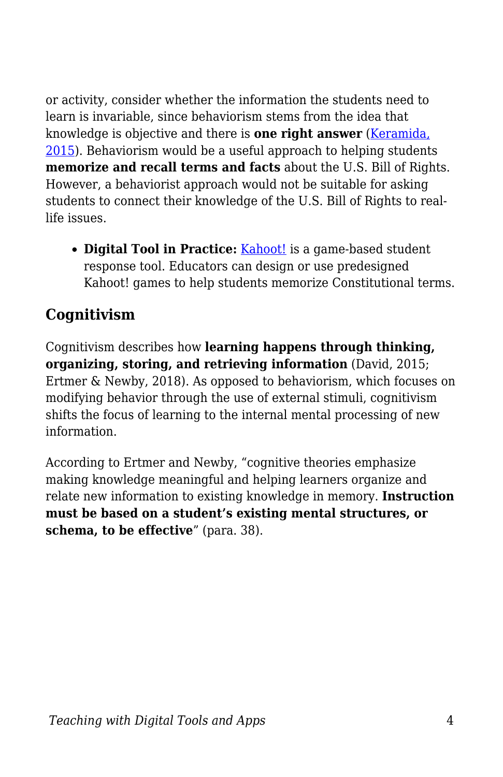or activity, consider whether the information the students need to learn is invariable, since behaviorism stems from the idea that knowledge is objective and there is **one right answer** ([Keramida,](https://elearningindustry.com/behaviorism-in-instructional-design-for-elearning-when-and-how-to-use) [2015\)](https://elearningindustry.com/behaviorism-in-instructional-design-for-elearning-when-and-how-to-use). Behaviorism would be a useful approach to helping students **memorize and recall terms and facts** about the U.S. Bill of Rights. However, a behaviorist approach would not be suitable for asking students to connect their knowledge of the U.S. Bill of Rights to reallife issues.

**• Digital Tool in Practice:** [Kahoot!](http://blogs.umass.edu/onlinetools/assessment-centered-tools/kahoot/) is a game-based student response tool. Educators can design or use predesigned Kahoot! games to help students memorize Constitutional terms.

### **Cognitivism**

Cognitivism describes how **learning happens through thinking, organizing, storing, and retrieving information** (David, 2015; Ertmer & Newby, 2018). As opposed to behaviorism, which focuses on modifying behavior through the use of external stimuli, cognitivism shifts the focus of learning to the internal mental processing of new information.

According to Ertmer and Newby, "cognitive theories emphasize making knowledge meaningful and helping learners organize and relate new information to existing knowledge in memory. **Instruction must be based on a student's existing mental structures, or schema, to be effective**" (para. 38).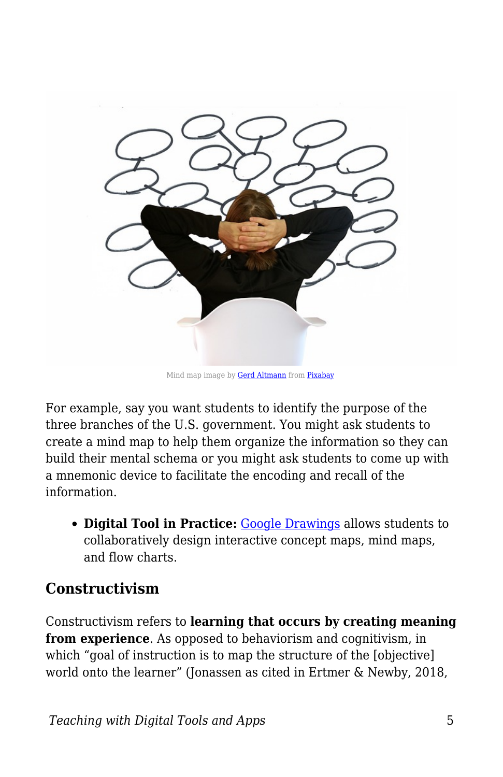

Mind map image by **Gerd Altmann** from **[Pixabay](https://pixabay.com/?utm_source=link-attribution&utm_medium=referral&utm_campaign=image&utm_content=4497350)** 

For example, say you want students to identify the purpose of the three branches of the U.S. government. You might ask students to create a mind map to help them organize the information so they can build their mental schema or you might ask students to come up with a mnemonic device to facilitate the encoding and recall of the information.

**Digital Tool in Practice:** [Google Drawings](http://blogs.umass.edu/onlinetools/community-centered-tools/google-drawings/) allows students to collaboratively design interactive concept maps, mind maps, and flow charts.

#### **Constructivism**

Constructivism refers to **learning that occurs by creating meaning from experience**. As opposed to behaviorism and cognitivism, in which "goal of instruction is to map the structure of the [objective] world onto the learner" (Jonassen as cited in Ertmer & Newby, 2018,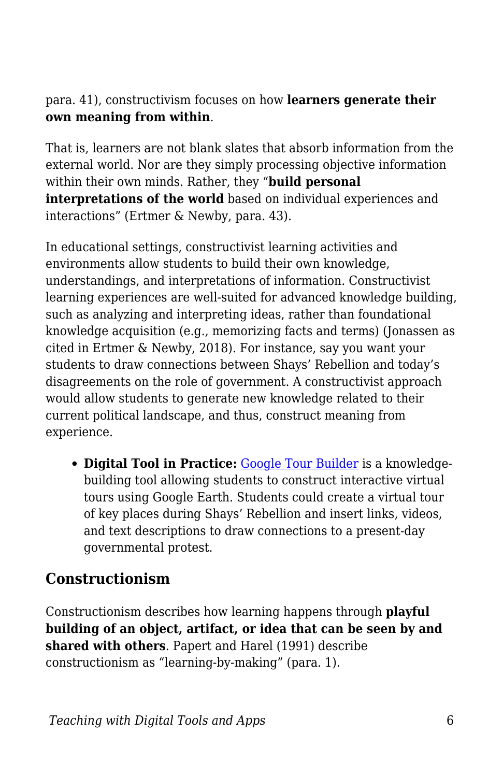#### para. 41), constructivism focuses on how **learners generate their own meaning from within**.

That is, learners are not blank slates that absorb information from the external world. Nor are they simply processing objective information within their own minds. Rather, they "**build personal interpretations of the world** based on individual experiences and interactions" (Ertmer & Newby, para. 43).

In educational settings, constructivist learning activities and environments allow students to build their own knowledge, understandings, and interpretations of information. Constructivist learning experiences are well-suited for advanced knowledge building, such as analyzing and interpreting ideas, rather than foundational knowledge acquisition (e.g., memorizing facts and terms) (Jonassen as cited in Ertmer & Newby, 2018). For instance, say you want your students to draw connections between Shays' Rebellion and today's disagreements on the role of government. A constructivist approach would allow students to generate new knowledge related to their current political landscape, and thus, construct meaning from experience.

**Digital Tool in Practice:** [Google Tour Builder](http://blogs.umass.edu/onlinetools/learner-centered-tools/google-tour-builder-tour-creator/) is a knowledgebuilding tool allowing students to construct interactive virtual tours using Google Earth. Students could create a virtual tour of key places during Shays' Rebellion and insert links, videos, and text descriptions to draw connections to a present-day governmental protest.

### **Constructionism**

Constructionism describes how learning happens through **playful building of an object, artifact, or idea that can be seen by and shared with others**. Papert and Harel (1991) describe constructionism as "learning-by-making" (para. 1).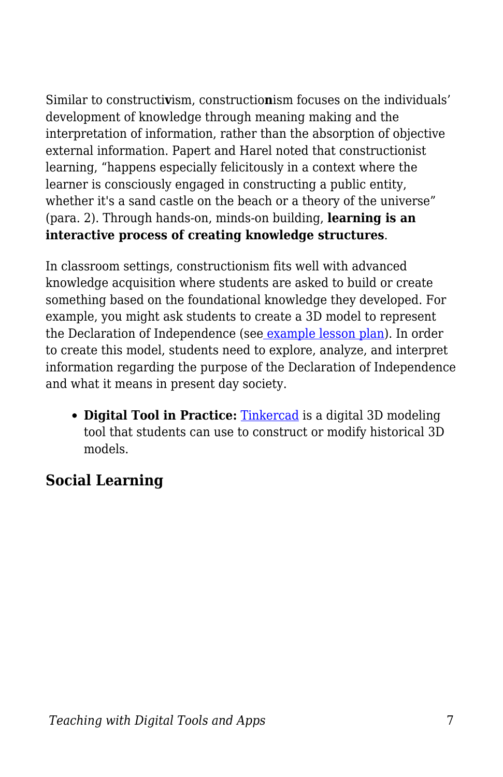Similar to constructi**v**ism, constructio**n**ism focuses on the individuals' development of knowledge through meaning making and the interpretation of information, rather than the absorption of objective external information. Papert and Harel noted that constructionist learning, "happens especially felicitously in a context where the learner is consciously engaged in constructing a public entity, whether it's a sand castle on the beach or a theory of the universe" (para. 2). Through hands-on, minds-on building, **learning is an interactive process of creating knowledge structures**.

In classroom settings, constructionism fits well with advanced knowledge acquisition where students are asked to build or create something based on the foundational knowledge they developed. For example, you might ask students to create a 3D model to represent the Declaration of Independence (se[e example lesson plan\)](https://blogs.umass.edu/edtechtrends/3d-printing-modeling/creative-exploration/4-2-designing-a-3d-printing-and-modeling-lesson/). In order to create this model, students need to explore, analyze, and interpret information regarding the purpose of the Declaration of Independence and what it means in present day society.

**Digital Tool in Practice:** [Tinkercad](http://blogs.umass.edu/onlinetools/knowledge-centered-tools/tinkercad-learning-center/) is a digital 3D modeling tool that students can use to construct or modify historical 3D models.

### **Social Learning**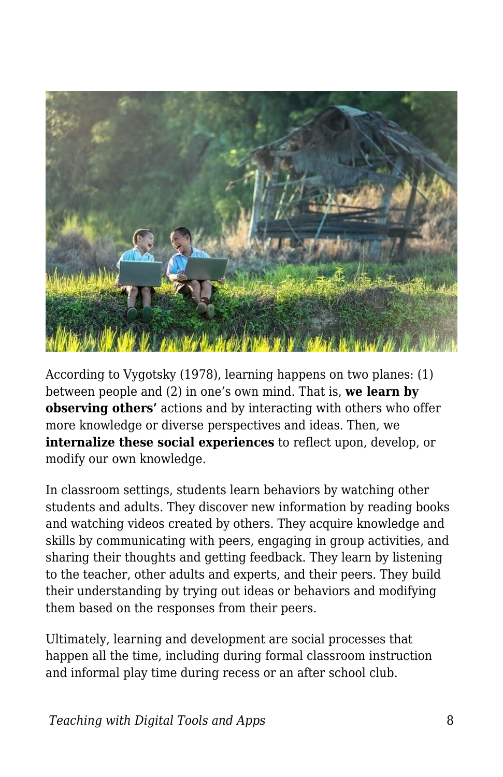

According to Vygotsky (1978), learning happens on two planes: (1) between people and (2) in one's own mind. That is, **we learn by observing others'** actions and by interacting with others who offer more knowledge or diverse perspectives and ideas. Then, we **internalize these social experiences** to reflect upon, develop, or modify our own knowledge.

In classroom settings, students learn behaviors by watching other students and adults. They discover new information by reading books and watching videos created by others. They acquire knowledge and skills by communicating with peers, engaging in group activities, and sharing their thoughts and getting feedback. They learn by listening to the teacher, other adults and experts, and their peers. They build their understanding by trying out ideas or behaviors and modifying them based on the responses from their peers.

Ultimately, learning and development are social processes that happen all the time, including during formal classroom instruction and informal play time during recess or an after school club.

*Teaching with Digital Tools and Apps* 8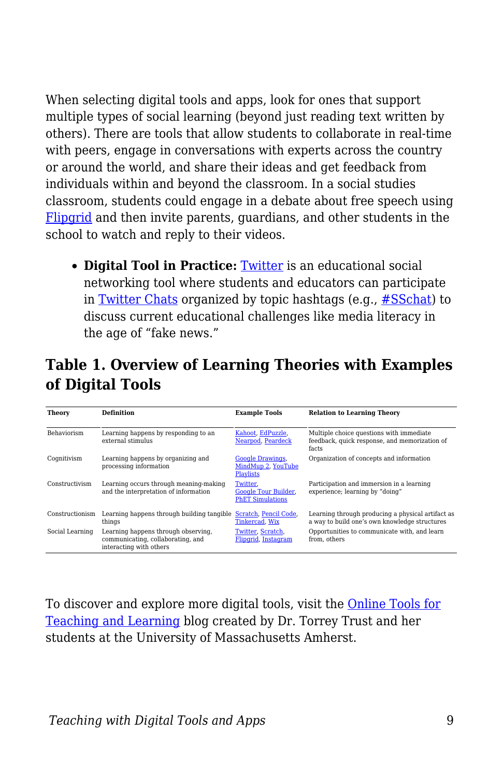When selecting digital tools and apps, look for ones that support multiple types of social learning (beyond just reading text written by others). There are tools that allow students to collaborate in real-time with peers, engage in conversations with experts across the country or around the world, and share their ideas and get feedback from individuals within and beyond the classroom. In a social studies classroom, students could engage in a debate about free speech using [Flipgrid](http://blogs.umass.edu/onlinetools/community-centered-tools/flipgrid/) and then invite parents, guardians, and other students in the school to watch and reply to their videos.

**Digital Tool in Practice:** [Twitter](http://blogs.umass.edu/onlinetools/community-centered-tools/twitter-2/) is an educational social networking tool where students and educators can participate in [Twitter Chats](https://www.sfecich.com/blog/how-to-slay-your-first-twitter-chat) organized by topic hashtags (e.g., [#SSchat\)](https://sschat.org/) to discuss current educational challenges like media literacy in the age of "fake news."

### **Table 1. Overview of Learning Theories with Examples of Digital Tools**

| <b>Theory</b>      | <b>Definition</b>                                                                                   | <b>Example Tools</b>                                               | <b>Relation to Learning Theory</b>                                                                 |
|--------------------|-----------------------------------------------------------------------------------------------------|--------------------------------------------------------------------|----------------------------------------------------------------------------------------------------|
| <b>Behaviorism</b> | Learning happens by responding to an<br>external stimulus                                           | Kahoot, EdPuzzle.<br>Nearpod, Peardeck                             | Multiple choice questions with immediate<br>feedback, quick response, and memorization of<br>facts |
| Coqnitivism        | Learning happens by organizing and<br>processing information                                        | <b>Google Drawings,</b><br>MindMup 2, YouTube<br><b>Playlists</b>  | Organization of concepts and information                                                           |
| Constructivism     | Learning occurs through meaning-making<br>and the interpretation of information                     | Twitter.<br><b>Google Tour Builder,</b><br><b>PhET Simulations</b> | Participation and immersion in a learning<br>experience; learning by "doing"                       |
| Constructionism    | Learning happens through building tangible<br>things                                                | Scratch, Pencil Code.<br>Tinkercad, Wix                            | Learning through producing a physical artifact as<br>a way to build one's own knowledge structures |
| Social Learning    | Learning happens through observing,<br>communicating, collaborating, and<br>interacting with others | Twitter, Scratch,<br>Fliporid, Instagram                           | Opportunities to communicate with, and learn<br>from, others                                       |

To discover and explore more digital tools, visit the [Online Tools for](http://blogs.umass.edu/onlinetools/) [Teaching and Learning](http://blogs.umass.edu/onlinetools/) blog created by Dr. Torrey Trust and her students at the University of Massachusetts Amherst.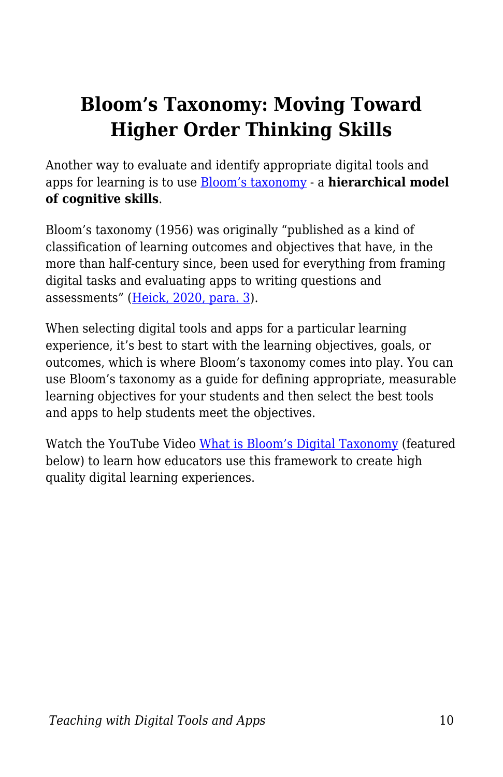# **Bloom's Taxonomy: Moving Toward Higher Order Thinking Skills**

Another way to evaluate and identify appropriate digital tools and apps for learning is to use [Bloom's taxonomy](https://cft.vanderbilt.edu/guides-sub-pages/blooms-taxonomy/) - a **hierarchical model of cognitive skills**.

Bloom's taxonomy (1956) was originally "published as a kind of classification of learning outcomes and objectives that have, in the more than half-century since, been used for everything from framing digital tasks and evaluating apps to writing questions and assessments" ([Heick, 2020, para. 3](https://www.teachthought.com/learning/what-is-blooms-taxonomy-a-definition-for-teachers/)).

When selecting digital tools and apps for a particular learning experience, it's best to start with the learning objectives, goals, or outcomes, which is where Bloom's taxonomy comes into play. You can use Bloom's taxonomy as a guide for defining appropriate, measurable learning objectives for your students and then select the best tools and apps to help students meet the objectives.

Watch the YouTube Video [What is Bloom's Digital Taxonomy](https://youtu.be/fqgTBwElPzU) (featured below) to learn how educators use this framework to create high quality digital learning experiences.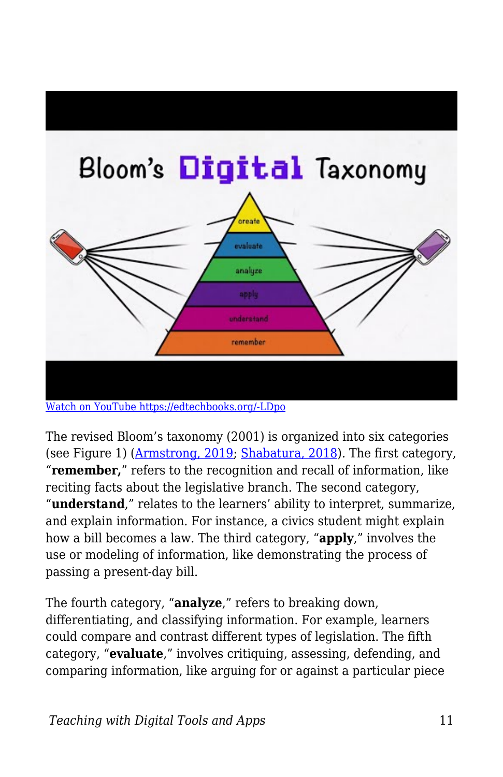

The revised Bloom's taxonomy (2001) is organized into six categories (see Figure 1) [\(Armstrong, 2019;](https://cft.vanderbilt.edu/guides-sub-pages/blooms-taxonomy/) [Shabatura, 2018\)](https://tips.uark.edu/using-blooms-taxonomy/). The first category, "**remember,**" refers to the recognition and recall of information, like reciting facts about the legislative branch. The second category, "**understand**," relates to the learners' ability to interpret, summarize, and explain information. For instance, a civics student might explain how a bill becomes a law. The third category, "**apply**," involves the use or modeling of information, like demonstrating the process of passing a present-day bill.

The fourth category, "**analyze**," refers to breaking down, differentiating, and classifying information. For example, learners could compare and contrast different types of legislation. The fifth category, "**evaluate**," involves critiquing, assessing, defending, and comparing information, like arguing for or against a particular piece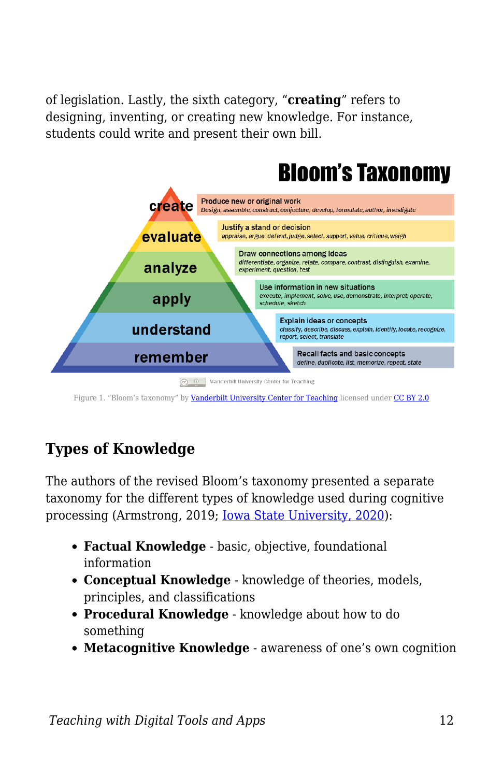of legislation. Lastly, the sixth category, "**creating**" refers to designing, inventing, or creating new knowledge. For instance, students could write and present their own bill.



Figure 1. "Bloom's taxonomy" by [Vanderbilt University Center for Teaching](https://cft.vanderbilt.edu/guides-sub-pages/blooms-taxonomy/) licensed under [CC BY 2.0](https://creativecommons.org/licenses/by/2.0/)

# **Types of Knowledge**

The authors of the revised Bloom's taxonomy presented a separate taxonomy for the different types of knowledge used during cognitive processing (Armstrong, 2019; [Iowa State University, 2020\)](https://www.celt.iastate.edu/teaching/effective-teaching-practices/revised-blooms-taxonomy/):

- **Factual Knowledge** basic, objective, foundational information
- **Conceptual Knowledge** knowledge of theories, models, principles, and classifications
- **Procedural Knowledge** knowledge about how to do something
- **Metacognitive Knowledge** awareness of one's own cognition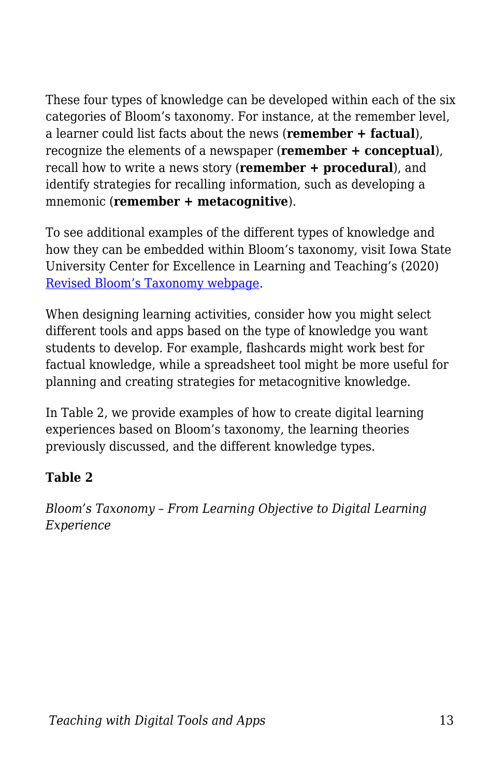These four types of knowledge can be developed within each of the six categories of Bloom's taxonomy. For instance, at the remember level, a learner could list facts about the news (**remember + factual**), recognize the elements of a newspaper (**remember + conceptual**), recall how to write a news story (**remember + procedural**), and identify strategies for recalling information, such as developing a mnemonic (**remember + metacognitive**).

To see additional examples of the different types of knowledge and how they can be embedded within Bloom's taxonomy, visit Iowa State University Center for Excellence in Learning and Teaching's (2020) [Revised Bloom's Taxonomy webpage](https://www.celt.iastate.edu/teaching/effective-teaching-practices/revised-blooms-taxonomy/).

When designing learning activities, consider how you might select different tools and apps based on the type of knowledge you want students to develop. For example, flashcards might work best for factual knowledge, while a spreadsheet tool might be more useful for planning and creating strategies for metacognitive knowledge.

In Table 2, we provide examples of how to create digital learning experiences based on Bloom's taxonomy, the learning theories previously discussed, and the different knowledge types.

#### **Table 2**

*Bloom's Taxonomy – From Learning Objective to Digital Learning Experience*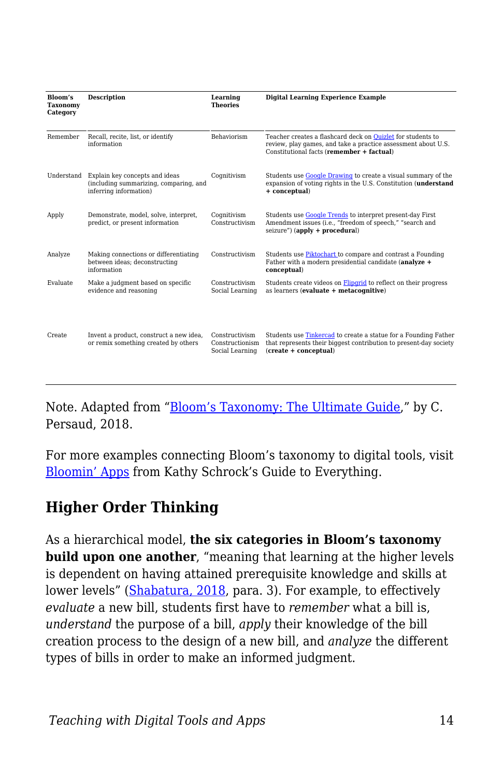| Bloom's<br>Taxonomy<br>Category | <b>Description</b>                                                                                 | Learning<br><b>Theories</b>                          | <b>Digital Learning Experience Example</b>                                                                                                                                |
|---------------------------------|----------------------------------------------------------------------------------------------------|------------------------------------------------------|---------------------------------------------------------------------------------------------------------------------------------------------------------------------------|
| Remember                        | Recall, recite, list, or identify<br>information                                                   | <b>Behaviorism</b>                                   | Teacher creates a flashcard deck on Ouizlet for students to<br>review, play games, and take a practice assessment about U.S.<br>Constitutional facts (remember + factual) |
| Understand                      | Explain key concepts and ideas<br>(including summarizing, comparing, and<br>inferring information) | Coqnitivism                                          | Students use Google Drawing to create a visual summary of the<br>expansion of voting rights in the U.S. Constitution (understand<br>+ conceptual)                         |
| Apply                           | Demonstrate, model, solve, interpret,<br>predict, or present information                           | Coqnitivism<br>Constructivism                        | Students use Google Trends to interpret present-day First<br>Amendment issues (i.e., "freedom of speech," "search and<br>seizure") (apply + procedural)                   |
| Analyze                         | Making connections or differentiating<br>between ideas; deconstructing<br>information              | Constructivism                                       | Students use Piktochart to compare and contrast a Founding<br>Father with a modern presidential candidate (analyze +<br>conceptual)                                       |
| Evaluate                        | Make a judgment based on specific<br>evidence and reasoning                                        | Constructivism<br>Social Learning                    | Students create videos on <b>Fliparid</b> to reflect on their progress<br>as learners (evaluate + metacognitive)                                                          |
| Create                          | Invent a product, construct a new idea,<br>or remix something created by others                    | Constructivism<br>Constructionism<br>Social Learning | Students use Tinkercad to create a statue for a Founding Father<br>that represents their biggest contribution to present-day society<br>(create + conceptual)             |

Note. Adapted from "[Bloom's Taxonomy: The Ultimate Guide](https://tophat.com/blog/blooms-taxonomy-ultimate-guide/)," by C. Persaud, 2018.

For more examples connecting Bloom's taxonomy to digital tools, visit [Bloomin' Apps](https://www.schrockguide.net/bloomin-apps.html) from Kathy Schrock's Guide to Everything.

### **Higher Order Thinking**

As a hierarchical model, **the six categories in Bloom's taxonomy build upon one another**, "meaning that learning at the higher levels is dependent on having attained prerequisite knowledge and skills at lower levels" ([Shabatura, 2018,](https://tips.uark.edu/using-blooms-taxonomy/) para. 3). For example, to effectively *evaluate* a new bill, students first have to *remember* what a bill is, *understand* the purpose of a bill, *apply* their knowledge of the bill creation process to the design of a new bill, and *analyze* the different types of bills in order to make an informed judgment.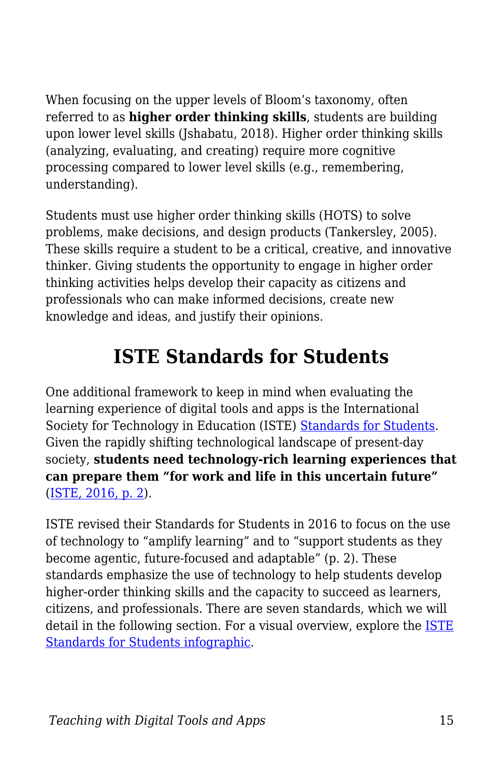When focusing on the upper levels of Bloom's taxonomy, often referred to as **higher order thinking skills**, students are building upon lower level skills (Jshabatu, 2018). Higher order thinking skills (analyzing, evaluating, and creating) require more cognitive processing compared to lower level skills (e.g., remembering, understanding).

Students must use higher order thinking skills (HOTS) to solve problems, make decisions, and design products (Tankersley, 2005). These skills require a student to be a critical, creative, and innovative thinker. Giving students the opportunity to engage in higher order thinking activities helps develop their capacity as citizens and professionals who can make informed decisions, create new knowledge and ideas, and justify their opinions.

# **ISTE Standards for Students**

One additional framework to keep in mind when evaluating the learning experience of digital tools and apps is the International Society for Technology in Education (ISTE) [Standards for Students.](https://www.iste.org/standards/for-students) Given the rapidly shifting technological landscape of present-day society, **students need technology-rich learning experiences that can prepare them "for work and life in this uncertain future"** ([ISTE, 2016, p. 2](https://id.iste.org/docs/Standards-Resources/iste-standards_students-2016_research-validity-report_final.pdf?sfvrsn%3D0.0680021527232122)).

ISTE revised their Standards for Students in 2016 to focus on the use of technology to "amplify learning" and to "support students as they become agentic, future-focused and adaptable" (p. 2). These standards emphasize the use of technology to help students develop higher-order thinking skills and the capacity to succeed as learners, citizens, and professionals. There are seven standards, which we will detail in the following section. For a visual overview, explore the **[ISTE](https://drive.google.com/file/d/15rlyButT2pIXUeQeUG84CcriS2NzBlnE/view)** [Standards for Students infographic](https://drive.google.com/file/d/15rlyButT2pIXUeQeUG84CcriS2NzBlnE/view).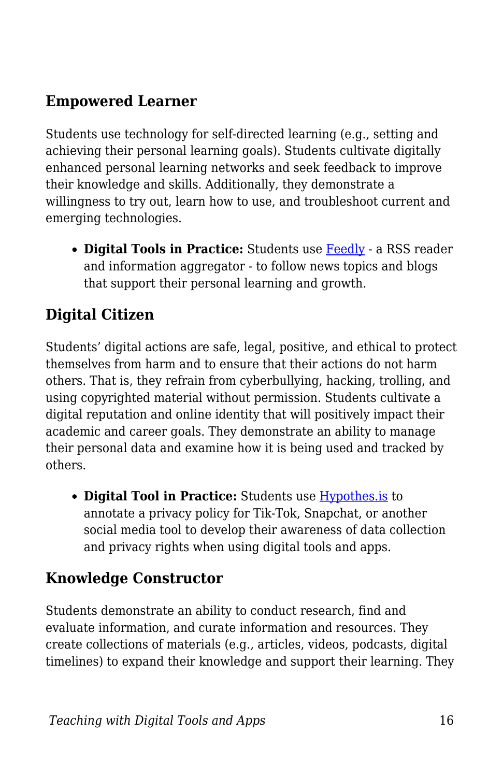### **Empowered Learner**

Students use technology for self-directed learning (e.g., setting and achieving their personal learning goals). Students cultivate digitally enhanced personal learning networks and seek feedback to improve their knowledge and skills. Additionally, they demonstrate a willingness to try out, learn how to use, and troubleshoot current and emerging technologies.

• **Digital Tools in Practice:** Students use **[Feedly](https://feedly.com/)** - a RSS reader and information aggregator - to follow news topics and blogs that support their personal learning and growth.

### **Digital Citizen**

Students' digital actions are safe, legal, positive, and ethical to protect themselves from harm and to ensure that their actions do not harm others. That is, they refrain from cyberbullying, hacking, trolling, and using copyrighted material without permission. Students cultivate a digital reputation and online identity that will positively impact their academic and career goals. They demonstrate an ability to manage their personal data and examine how it is being used and tracked by others.

**Digital Tool in Practice:** Students use [Hypothes.is](https://web.hypothes.is/) to annotate a privacy policy for Tik-Tok, Snapchat, or another social media tool to develop their awareness of data collection and privacy rights when using digital tools and apps.

## **Knowledge Constructor**

Students demonstrate an ability to conduct research, find and evaluate information, and curate information and resources. They create collections of materials (e.g., articles, videos, podcasts, digital timelines) to expand their knowledge and support their learning. They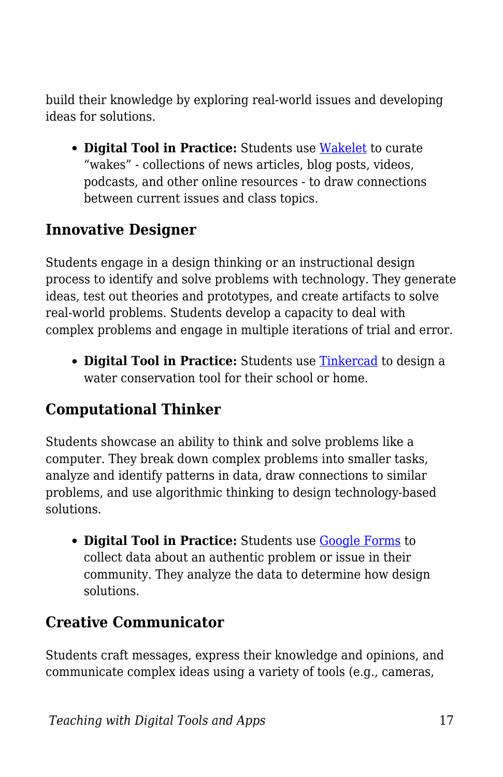build their knowledge by exploring real-world issues and developing ideas for solutions.

**Digital Tool in Practice:** Students use [Wakelet](https://blogs.umass.edu/onlinetools/learner-centered-tools/wakelet/) to curate "wakes" - collections of news articles, blog posts, videos, podcasts, and other online resources - to draw connections between current issues and class topics.

#### **Innovative Designer**

Students engage in a design thinking or an instructional design process to identify and solve problems with technology. They generate ideas, test out theories and prototypes, and create artifacts to solve real-world problems. Students develop a capacity to deal with complex problems and engage in multiple iterations of trial and error.

**• Digital Tool in Practice:** Students use **Tinkercad** to design a water conservation tool for their school or home.

### **Computational Thinker**

Students showcase an ability to think and solve problems like a computer. They break down complex problems into smaller tasks, analyze and identify patterns in data, draw connections to similar problems, and use algorithmic thinking to design technology-based solutions.

**• Digital Tool in Practice:** Students use **Google Forms** to collect data about an authentic problem or issue in their community. They analyze the data to determine how design solutions.

### **Creative Communicator**

Students craft messages, express their knowledge and opinions, and communicate complex ideas using a variety of tools (e.g., cameras,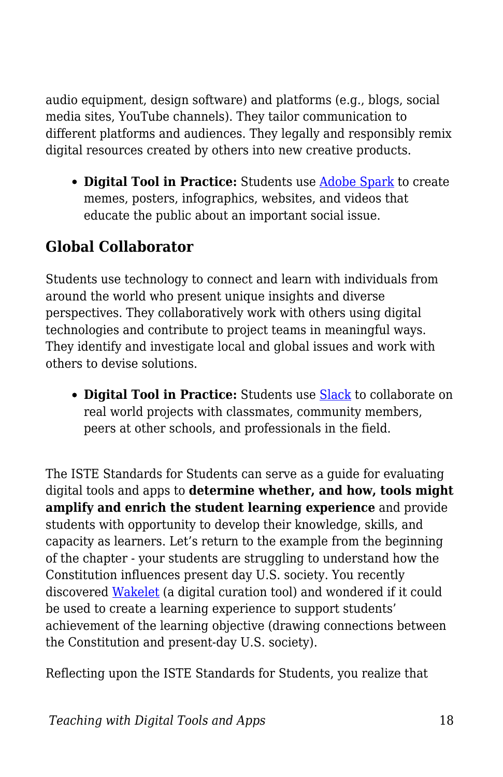audio equipment, design software) and platforms (e.g., blogs, social media sites, YouTube channels). They tailor communication to different platforms and audiences. They legally and responsibly remix digital resources created by others into new creative products.

**Digital Tool in Practice:** Students use [Adobe Spark](https://blogs.umass.edu/onlinetools/learner-centered-tools/adobe-spark/) to create memes, posters, infographics, websites, and videos that educate the public about an important social issue.

# **Global Collaborator**

Students use technology to connect and learn with individuals from around the world who present unique insights and diverse perspectives. They collaboratively work with others using digital technologies and contribute to project teams in meaningful ways. They identify and investigate local and global issues and work with others to devise solutions.

**Digital Tool in Practice:** Students use [Slack](https://blogs.umass.edu/onlinetools/community-centered-tools/slack/) to collaborate on real world projects with classmates, community members, peers at other schools, and professionals in the field.

The ISTE Standards for Students can serve as a guide for evaluating digital tools and apps to **determine whether, and how, tools might amplify and enrich the student learning experience** and provide students with opportunity to develop their knowledge, skills, and capacity as learners. Let's return to the example from the beginning of the chapter - your students are struggling to understand how the Constitution influences present day U.S. society. You recently discovered [Wakelet](https://blogs.umass.edu/onlinetools/learner-centered-tools/wakelet/) (a digital curation tool) and wondered if it could be used to create a learning experience to support students' achievement of the learning objective (drawing connections between the Constitution and present-day U.S. society).

Reflecting upon the ISTE Standards for Students, you realize that

*Teaching with Digital Tools and Apps* 18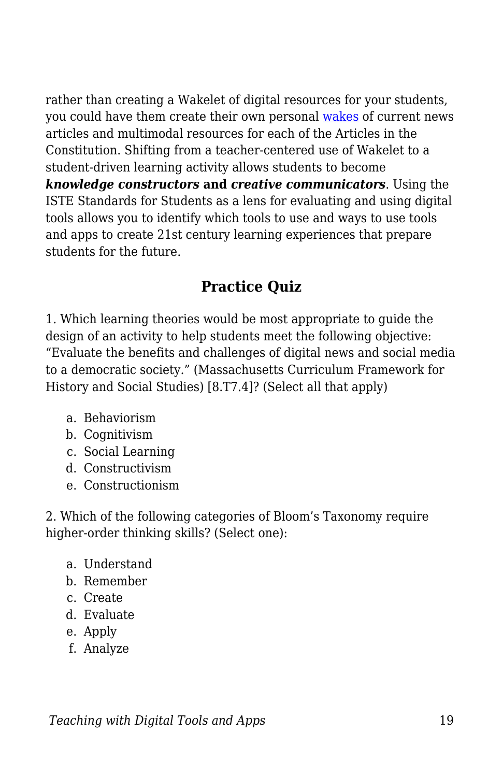rather than creating a Wakelet of digital resources for your students, you could have them create their own personal [wakes](https://wakelet.com/findoutmore.html) of current news articles and multimodal resources for each of the Articles in the Constitution. Shifting from a teacher-centered use of Wakelet to a student-driven learning activity allows students to become *knowledge constructors* **and** *creative communicators*. Using the ISTE Standards for Students as a lens for evaluating and using digital tools allows you to identify which tools to use and ways to use tools and apps to create 21st century learning experiences that prepare students for the future.

### **Practice Quiz**

1. Which learning theories would be most appropriate to guide the design of an activity to help students meet the following objective: "Evaluate the benefits and challenges of digital news and social media to a democratic society." (Massachusetts Curriculum Framework for History and Social Studies) [8.T7.4]? (Select all that apply)

- a. Behaviorism
- b. Cognitivism
- c. Social Learning
- d. Constructivism
- e. Constructionism

2. Which of the following categories of Bloom's Taxonomy require higher-order thinking skills? (Select one):

- a. Understand
- b. Remember
- c. Create
- d. Evaluate
- e. Apply
- f. Analyze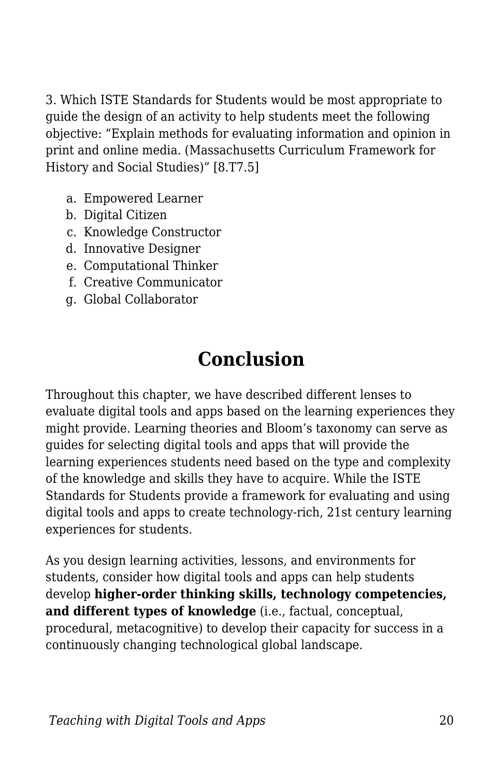3. Which ISTE Standards for Students would be most appropriate to guide the design of an activity to help students meet the following objective: "Explain methods for evaluating information and opinion in print and online media. (Massachusetts Curriculum Framework for History and Social Studies)" [8.T7.5]

- a. Empowered Learner
- b. Digital Citizen
- c. Knowledge Constructor
- d. Innovative Designer
- e. Computational Thinker
- f. Creative Communicator
- g. Global Collaborator

# **Conclusion**

Throughout this chapter, we have described different lenses to evaluate digital tools and apps based on the learning experiences they might provide. Learning theories and Bloom's taxonomy can serve as guides for selecting digital tools and apps that will provide the learning experiences students need based on the type and complexity of the knowledge and skills they have to acquire. While the ISTE Standards for Students provide a framework for evaluating and using digital tools and apps to create technology-rich, 21st century learning experiences for students.

As you design learning activities, lessons, and environments for students, consider how digital tools and apps can help students develop **higher-order thinking skills, technology competencies, and different types of knowledge** (i.e., factual, conceptual, procedural, metacognitive) to develop their capacity for success in a continuously changing technological global landscape.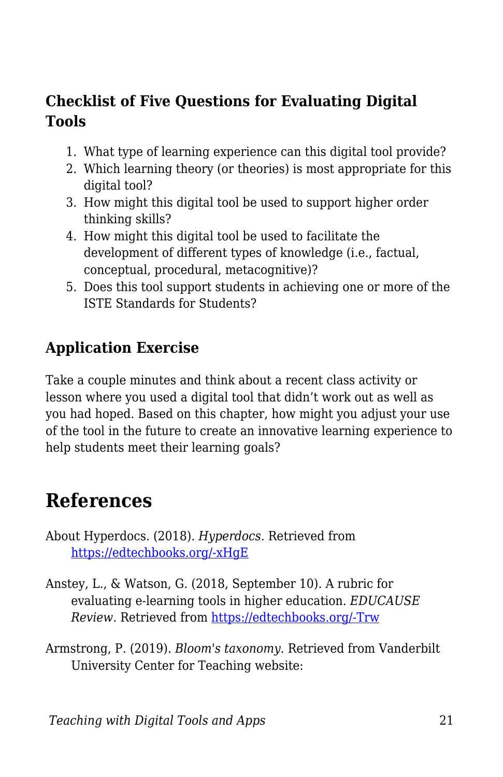### **Checklist of Five Questions for Evaluating Digital Tools**

- 1. What type of learning experience can this digital tool provide?
- 2. Which learning theory (or theories) is most appropriate for this digital tool?
- 3. How might this digital tool be used to support higher order thinking skills?
- 4. How might this digital tool be used to facilitate the development of different types of knowledge (i.e., factual, conceptual, procedural, metacognitive)?
- 5. Does this tool support students in achieving one or more of the ISTE Standards for Students?

### **Application Exercise**

Take a couple minutes and think about a recent class activity or lesson where you used a digital tool that didn't work out as well as you had hoped. Based on this chapter, how might you adjust your use of the tool in the future to create an innovative learning experience to help students meet their learning goals?

# **References**

- About Hyperdocs. (2018). *Hyperdocs.* Retrieved from [https://edtechbooks.org/-xHgE](https://hyperdocs.co/index.php/about_hyperdocs)
- Anstey, L., & Watson, G. (2018, September 10). A rubric for evaluating e-learning tools in higher education. *EDUCAUSE Review*. Retrieved from [https://edtechbooks.org/-Trw](https://er.educause.edu/articles/2018/9/a-rubric-for-evaluating-e-learning-tools-in-higher-education)
- Armstrong, P. (2019). *Bloom's taxonomy*. Retrieved from Vanderbilt University Center for Teaching website: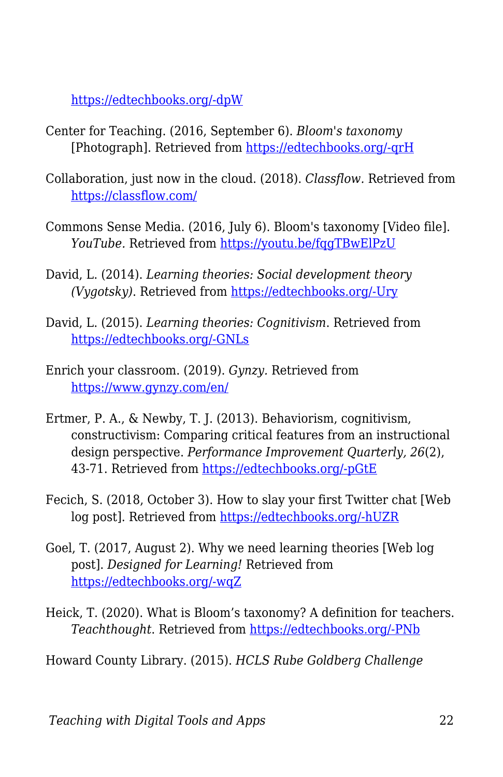[https://edtechbooks.org/-dpW](https://cft.vanderbilt.edu/guides-sub-pages/blooms-taxonomy/)

- Center for Teaching. (2016, September 6). *Bloom's taxonomy* [Photograph]. Retrieved from [https://edtechbooks.org/-qrH](https://www.flickr.com/photos/vandycft/29428436431)
- Collaboration, just now in the cloud. (2018). *Classflow.* Retrieved from <https://classflow.com/>
- Commons Sense Media. (2016, July 6). Bloom's taxonomy [Video file]. *YouTube.* Retrieved from<https://youtu.be/fqgTBwElPzU>
- David, L. (2014). *Learning theories: Social development theory (Vygotsky)*. Retrieved from [https://edtechbooks.org/-Ury](https://www.learning-theories.com/vygotskys-social-learning-theory.html)
- David, L. (2015). *Learning theories: Cognitivism*. Retrieved from [https://edtechbooks.org/-GNLs](https://www.learning-theories.com/cognitivism.html)
- Enrich your classroom. (2019). *Gynzy.* Retrieved from <https://www.gynzy.com/en/>
- Ertmer, P. A., & Newby, T. J. (2013). Behaviorism, cognitivism, constructivism: Comparing critical features from an instructional design perspective. *Performance Improvement Quarterly, 26*(2), 43-71. Retrieved from [https://edtechbooks.org/-pGtE](https://edtechbooks.org/lidtfoundations/behaviorism_cognitivism_constructivism)
- Fecich, S. (2018, October 3). How to slay your first Twitter chat [Web log post]. Retrieved from [https://edtechbooks.org/-hUZR](https://www.sfecich.com/post/how-to-slay-your-first-twitter-chat)
- Goel, T. (2017, August 2). Why we need learning theories [Web log post]. *Designed for Learning!* Retrieved from [https://edtechbooks.org/-wqZ](http://tarunagoel.blogspot.com/2017/08/why-we-need-learning-theories.html)
- Heick, T. (2020). What is Bloom's taxonomy? A definition for teachers. *Teachthought*. Retrieved from [https://edtechbooks.org/-PNb](https://www.teachthought.com/learning/what-is-blooms-taxonomy-a-definition-for-teachers/)

Howard County Library. (2015). *HCLS Rube Goldberg Challenge*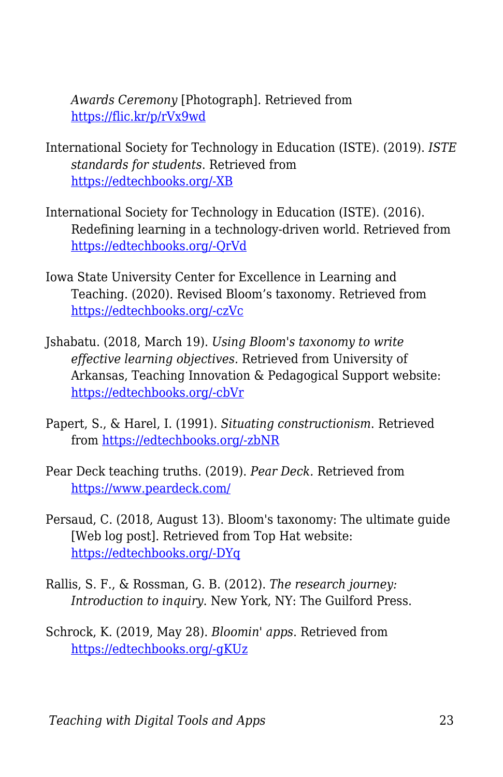*Awards Ceremony* [Photograph]. Retrieved from <https://flic.kr/p/rVx9wd>

- International Society for Technology in Education (ISTE). (2019). *ISTE standards for students*. Retrieved from [https://edtechbooks.org/-XB](https://www.iste.org/standards/for-students)
- International Society for Technology in Education (ISTE). (2016). Redefining learning in a technology-driven world. Retrieved from [https://edtechbooks.org/-QrVd](https://id.iste.org/docs/Standards-Resources/iste-standards_students-2016_research-validity-report_final.pdf)
- Iowa State University Center for Excellence in Learning and Teaching. (2020). Revised Bloom's taxonomy. Retrieved from [https://edtechbooks.org/-czVc](https://www.celt.iastate.edu/teaching/effective-teaching-practices/revised-blooms-taxonomy/)
- Jshabatu. (2018, March 19). *Using Bloom's taxonomy to write effective learning objectives.* Retrieved from University of Arkansas, Teaching Innovation & Pedagogical Support website: [https://edtechbooks.org/-cbVr](https://tips.uark.edu/using-blooms-taxonomy/)
- Papert, S., & Harel, I. (1991). *Situating constructionism*. Retrieved from [https://edtechbooks.org/-zbNR](http://www.papert.org/articles/SituatingConstructionism.html)
- Pear Deck teaching truths. (2019). *Pear Deck.* Retrieved from <https://www.peardeck.com/>
- Persaud, C. (2018, August 13). Bloom's taxonomy: The ultimate guide [Web log post]. Retrieved from Top Hat website: [https://edtechbooks.org/-DYq](https://tophat.com/blog/blooms-taxonomy-ultimate-guide/)
- Rallis, S. F., & Rossman, G. B. (2012). *The research journey: Introduction to inquiry*. New York, NY: The Guilford Press.
- Schrock, K. (2019, May 28). *Bloomin' apps*. Retrieved from [https://edtechbooks.org/-gKUz](https://www.schrockguide.net/bloomin-apps.html)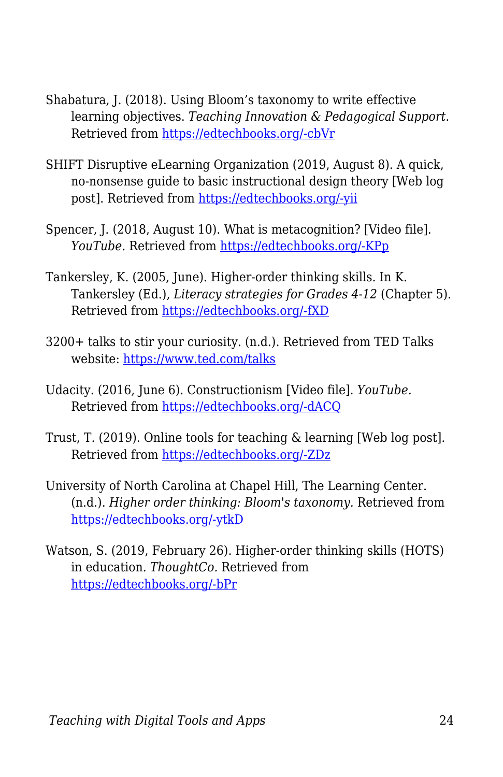- Shabatura, J. (2018). Using Bloom's taxonomy to write effective learning objectives. *Teaching Innovation & Pedagogical Support*. Retrieved from [https://edtechbooks.org/-cbVr](https://tips.uark.edu/using-blooms-taxonomy/)
- SHIFT Disruptive eLearning Organization (2019, August 8). A quick, no-nonsense guide to basic instructional design theory [Web log post]. Retrieved from [https://edtechbooks.org/-yii](https://www.shiftelearning.com/blog/bid/345615/a-quick-no-nonsense-guide-to-basic-instructional-design-theory)
- Spencer, J. (2018, August 10). What is metacognition? [Video file]. *YouTube.* Retrieved from [https://edtechbooks.org/-KPp](https://www.youtube.com/watch?v=HZrUWvfU6VU)
- Tankersley, K. (2005, June). Higher-order thinking skills. In K. Tankersley (Ed.), *Literacy strategies for Grades 4-12* (Chapter 5). Retrieved from [https://edtechbooks.org/-fXD](http://www.ascd.org/publications/books/104428/chapters/Higher-Order_Thinking.aspx)
- 3200+ talks to stir your curiosity. (n.d.). Retrieved from TED Talks website:<https://www.ted.com/talks>
- Udacity. (2016, June 6). Constructionism [Video file]. *YouTube.* Retrieved from [https://edtechbooks.org/-dACQ](https://www.youtube.com/watch?v=-qsiqetMlCg&feature=youtu.be)
- Trust, T. (2019). Online tools for teaching & learning [Web log post]. Retrieved from [https://edtechbooks.org/-ZDz](http://blogs.umass.edu/onlinetools/)
- University of North Carolina at Chapel Hill, The Learning Center. (n.d.). *Higher order thinking: Bloom's taxonomy.* Retrieved from [https://edtechbooks.org/-ytkD](https://learningcenter.unc.edu/tips-and-tools/higher-order-thinking/)
- Watson, S. (2019, February 26). Higher-order thinking skills (HOTS) in education. *ThoughtCo.* Retrieved from [https://edtechbooks.org/-bPr](https://www.thoughtco.com/higher-order-thinking-skills-hots-education-3111297)